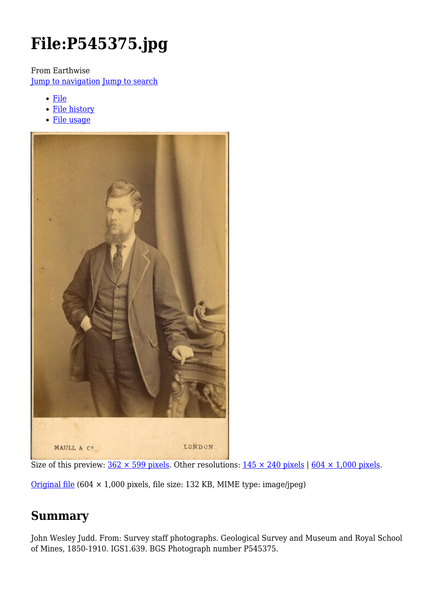# **File:P545375.jpg**

From Earthwise

[Jump to navigation](#page--1-0) [Jump to search](#page--1-0)

- [File](#page--1-0)
- [File history](#page--1-0)
- [File usage](#page--1-0)



Size of this preview:  $362 \times 599$  pixels. Other resolutions:  $145 \times 240$  pixels |  $604 \times 1,000$  pixels.

[Original file](http://earthwise.bgs.ac.uk/images/4/49/P545375.jpg)  $(604 \times 1,000)$  pixels, file size: 132 KB, MIME type: image/jpeg)

# **Summary**

John Wesley Judd. From: Survey staff photographs. Geological Survey and Museum and Royal School of Mines, 1850-1910. IGS1.639. BGS Photograph number P545375.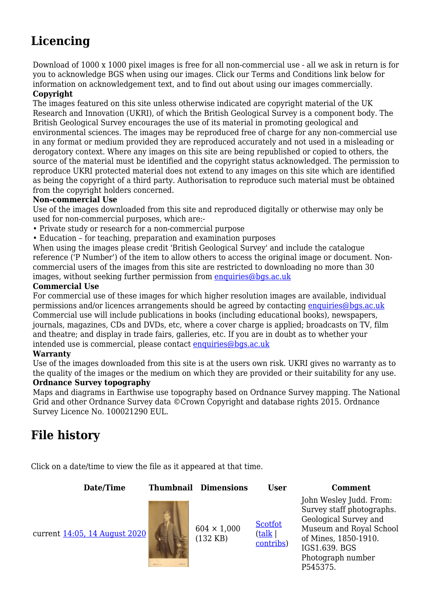# **Licencing**

Download of 1000 x 1000 pixel images is free for all non-commercial use - all we ask in return is for you to acknowledge BGS when using our images. Click our Terms and Conditions link below for information on acknowledgement text, and to find out about using our images commercially.

#### **Copyright**

The images featured on this site unless otherwise indicated are copyright material of the UK Research and Innovation (UKRI), of which the British Geological Survey is a component body. The British Geological Survey encourages the use of its material in promoting geological and environmental sciences. The images may be reproduced free of charge for any non-commercial use in any format or medium provided they are reproduced accurately and not used in a misleading or derogatory context. Where any images on this site are being republished or copied to others, the source of the material must be identified and the copyright status acknowledged. The permission to reproduce UKRI protected material does not extend to any images on this site which are identified as being the copyright of a third party. Authorisation to reproduce such material must be obtained from the copyright holders concerned.

#### **Non-commercial Use**

Use of the images downloaded from this site and reproduced digitally or otherwise may only be used for non-commercial purposes, which are:-

- Private study or research for a non-commercial purpose
- Education for teaching, preparation and examination purposes

When using the images please credit 'British Geological Survey' and include the catalogue reference ('P Number') of the item to allow others to access the original image or document. Noncommercial users of the images from this site are restricted to downloading no more than 30 images, without seeking further permission from [enquiries@bgs.ac.uk](mailto:enquiries@bgs.ac.uk)

#### **Commercial Use**

For commercial use of these images for which higher resolution images are available, individual permissions and/or licences arrangements should be agreed by contacting [enquiries@bgs.ac.uk](mailto:enquiries@bgs.ac.uk) Commercial use will include publications in books (including educational books), newspapers, journals, magazines, CDs and DVDs, etc, where a cover charge is applied; broadcasts on TV, film and theatre; and display in trade fairs, galleries, etc. If you are in doubt as to whether your intended use is commercial, please contact [enquiries@bgs.ac.uk](mailto:enquiries@bgs.ac.uk)

#### **Warranty**

Use of the images downloaded from this site is at the users own risk. UKRI gives no warranty as to the quality of the images or the medium on which they are provided or their suitability for any use.

#### **Ordnance Survey topography**

Maps and diagrams in Earthwise use topography based on Ordnance Survey mapping. The National Grid and other Ordnance Survey data ©Crown Copyright and database rights 2015. Ordnance Survey Licence No. 100021290 EUL.

## **File history**

Click on a date/time to view the file as it appeared at that time.

**Date/Time Thumbnail Dimensions User Comment**

(132 KB)

**[Scotfot](http://earthwise.bgs.ac.uk/index.php/User:Scotfot)** ([talk](http://earthwise.bgs.ac.uk/index.php/User_talk:Scotfot) | [contribs\)](http://earthwise.bgs.ac.uk/index.php/Special:Contributions/Scotfot)

John Wesley Judd. From: Survey staff photographs. Geological Survey and Museum and Royal School of Mines, 1850-1910. IGS1.639. BGS Photograph number P545375.

current [14:05, 14 August 2020](http://earthwise.bgs.ac.uk/images/4/49/P545375.jpg)

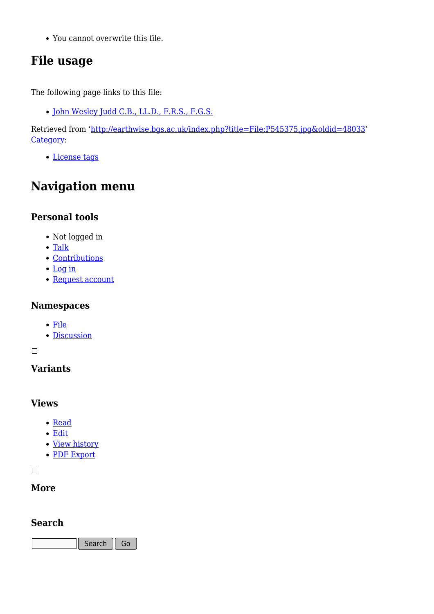You cannot overwrite this file.

# **File usage**

The following page links to this file:

• [John Wesley Judd C.B., LL.D., F.R.S., F.G.S.](http://earthwise.bgs.ac.uk/index.php/John_Wesley_Judd_C.B.,_LL.D.,_F.R.S.,_F.G.S.)

Retrieved from ['http://earthwise.bgs.ac.uk/index.php?title=File:P545375.jpg&oldid=48033](http://earthwise.bgs.ac.uk/index.php?title=File:P545375.jpg&oldid=48033)' [Category](http://earthwise.bgs.ac.uk/index.php/Special:Categories):

[License tags](http://earthwise.bgs.ac.uk/index.php/Category:License_tags)

# **Navigation menu**

### **Personal tools**

- Not logged in
- [Talk](http://earthwise.bgs.ac.uk/index.php/Special:MyTalk)
- [Contributions](http://earthwise.bgs.ac.uk/index.php/Special:MyContributions)
- [Log in](http://earthwise.bgs.ac.uk/index.php?title=Special:UserLogin&returnto=File%3AP545375.jpg&returntoquery=action%3Dmpdf)
- [Request account](http://earthwise.bgs.ac.uk/index.php/Special:RequestAccount)

### **Namespaces**

- [File](http://earthwise.bgs.ac.uk/index.php/File:P545375.jpg)
- [Discussion](http://earthwise.bgs.ac.uk/index.php?title=File_talk:P545375.jpg&action=edit&redlink=1)

 $\Box$ 

### **Variants**

### **Views**

- [Read](http://earthwise.bgs.ac.uk/index.php/File:P545375.jpg)
- [Edit](http://earthwise.bgs.ac.uk/index.php?title=File:P545375.jpg&action=edit)
- [View history](http://earthwise.bgs.ac.uk/index.php?title=File:P545375.jpg&action=history)
- [PDF Export](http://earthwise.bgs.ac.uk/index.php?title=File:P545375.jpg&action=mpdf)

 $\overline{\phantom{a}}$ 

### **More**

### **Search**

Search  $\|$  Go